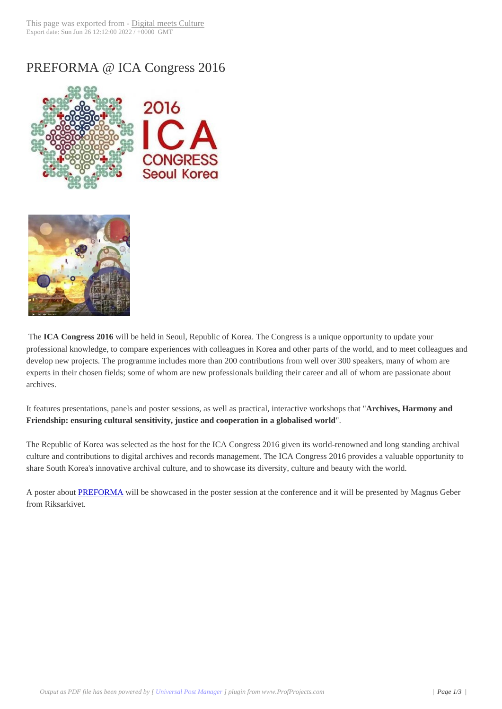## PREFORMA @ I[CA Congress 2](http://www.digitalmeetsculture.net/?p=42136)016





 The **ICA Congress 2016** will be held in Seoul, Republic of Korea. The Congress is a unique opportunity to update your professional knowledge, to compare experiences with colleagues in Korea and other parts of the world, and to meet colleagues and develop new projects. The programme includes more than 200 contributions from well over 300 speakers, many of whom are experts in their chosen fields; some of whom are new professionals building their career and all of whom are passionate about archives.

It features presentations, panels and poster sessions, as well as practical, interactive workshops that "**Archives, Harmony and Friendship: ensuring cultural sensitivity, justice and cooperation in a globalised world**".

The Republic of Korea was selected as the host for the ICA Congress 2016 given its world-renowned and long standing archival culture and contributions to digital archives and records management. The ICA Congress 2016 provides a valuable opportunity to share South Korea's innovative archival culture, and to showcase its diversity, culture and beauty with the world.

A poster about PREFORMA will be showcased in the poster session at the conference and it will be presented by Magnus Geber from Riksarkivet.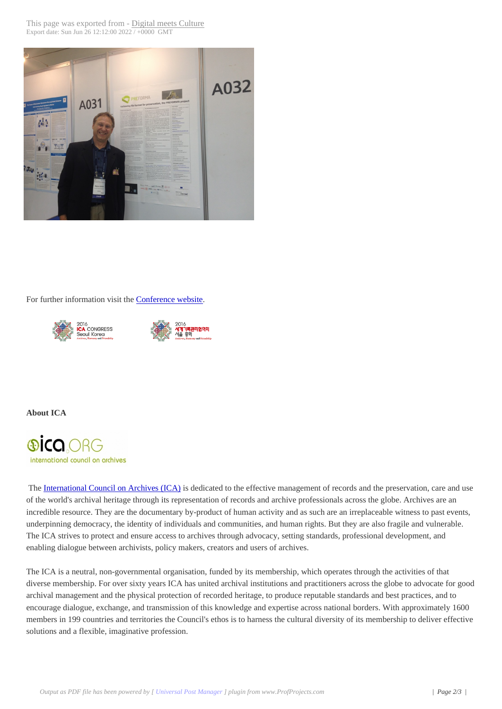

For further information visit the Conference website.





## **About ICA**



 The International Council on Archives (ICA) is dedicated to the effective management of records and the preservation, care and use of the world's archival heritage through its representation of records and archive professionals across the globe. Archives are an incredible resource. They are the documentary by-product of human activity and as such are an irreplaceable witness to past events, underpinning democracy, the identity of individuals and communities, and human rights. But they are also fragile and vulnerable. The [ICA strives to protect and ensure access t](http://www.ica.org/)o archives through advocacy, setting standards, professional development, and enabling dialogue between archivists, policy makers, creators and users of archives.

The ICA is a neutral, non-governmental organisation, funded by its membership, which operates through the activities of that diverse membership. For over sixty years ICA has united archival institutions and practitioners across the globe to advocate for good archival management and the physical protection of recorded heritage, to produce reputable standards and best practices, and to encourage dialogue, exchange, and transmission of this knowledge and expertise across national borders. With approximately 1600 members in 199 countries and territories the Council's ethos is to harness the cultural diversity of its membership to deliver effective solutions and a flexible, imaginative profession.